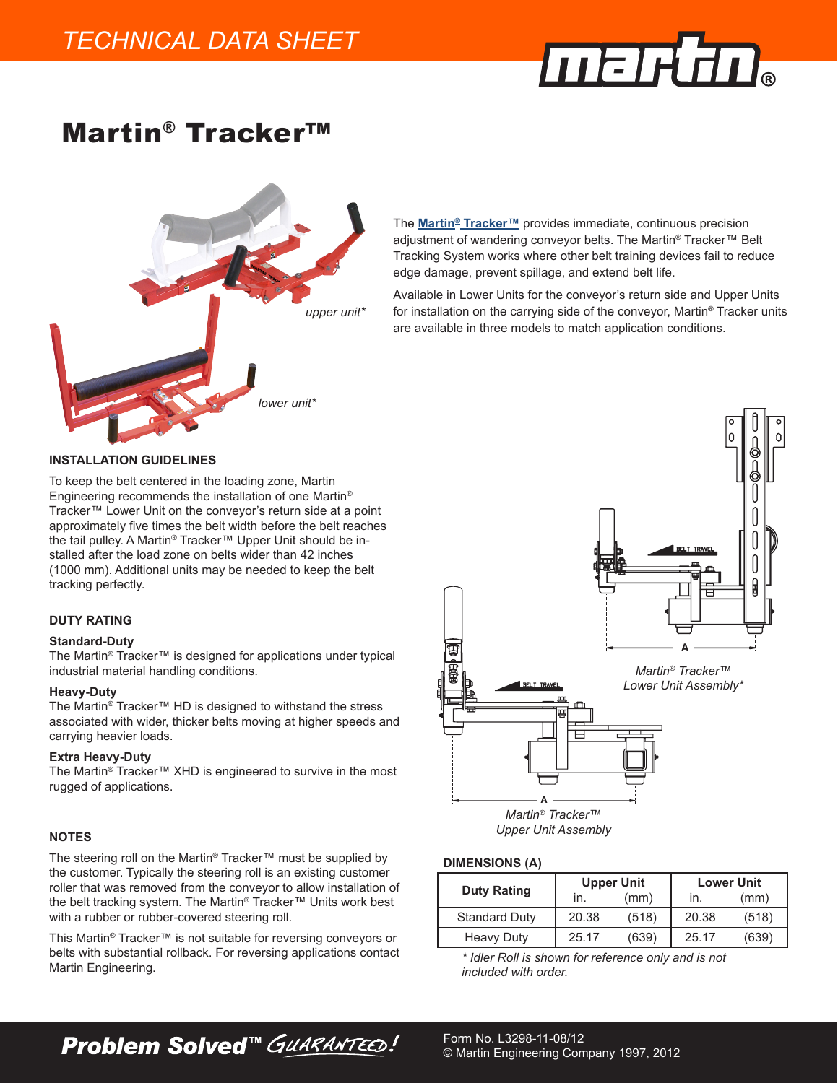

# Martin® Tracker™



The **[Martin® Tracker™](https://www.martin-eng.com/products/tracker.html)** provides immediate, continuous precision adjustment of wandering conveyor belts. The Martin® Tracker™ Belt Tracking System works where other belt training devices fail to reduce edge damage, prevent spillage, and extend belt life.

Available in Lower Units for the conveyor's return side and Upper Units for installation on the carrying side of the conveyor, Martin® Tracker units are available in three models to match application conditions.

### **INSTALLATION GUIDELINES**

To keep the belt centered in the loading zone, Martin Engineering recommends the installation of one Martin® Tracker™ Lower Unit on the conveyor's return side at a point approximately five times the belt width before the belt reaches the tail pulley. A Martin® Tracker™ Upper Unit should be installed after the load zone on belts wider than 42 inches (1000 mm). Additional units may be needed to keep the belt tracking perfectly.

### **DUTY RATING**

### **Standard-Duty**

The Martin® Tracker™ is designed for applications under typical industrial material handling conditions.

### **Heavy-Duty**

The Martin® Tracker™ HD is designed to withstand the stress associated with wider, thicker belts moving at higher speeds and carrying heavier loads.

### **Extra Heavy-Duty**

The Martin® Tracker™ XHD is engineered to survive in the most rugged of applications.

# **NOTES**

The steering roll on the Martin® Tracker™ must be supplied by the customer. Typically the steering roll is an existing customer roller that was removed from the conveyor to allow installation of the belt tracking system. The Martin® Tracker™ Units work best with a rubber or rubber-covered steering roll.

This Martin® Tracker™ is not suitable for reversing conveyors or belts with substantial rollback. For reversing applications contact Martin Engineering.



*Upper Unit Assembly*

#### **DIMENSIONS (A)**

|                      |       | <b>Upper Unit</b> | <b>Lower Unit</b> |       |  |
|----------------------|-------|-------------------|-------------------|-------|--|
| <b>Duty Rating</b>   | ın.   | (mm)              | ın.               | (mm)  |  |
| <b>Standard Duty</b> | 20.38 | (518)             | 20.38             | (518) |  |
| <b>Heavy Duty</b>    | 25.17 | (639)             | 25.17             | (639) |  |

*\* Idler Roll is shown for reference only and is not included with order.*

**Problem Solved™ GUARANTEED!**